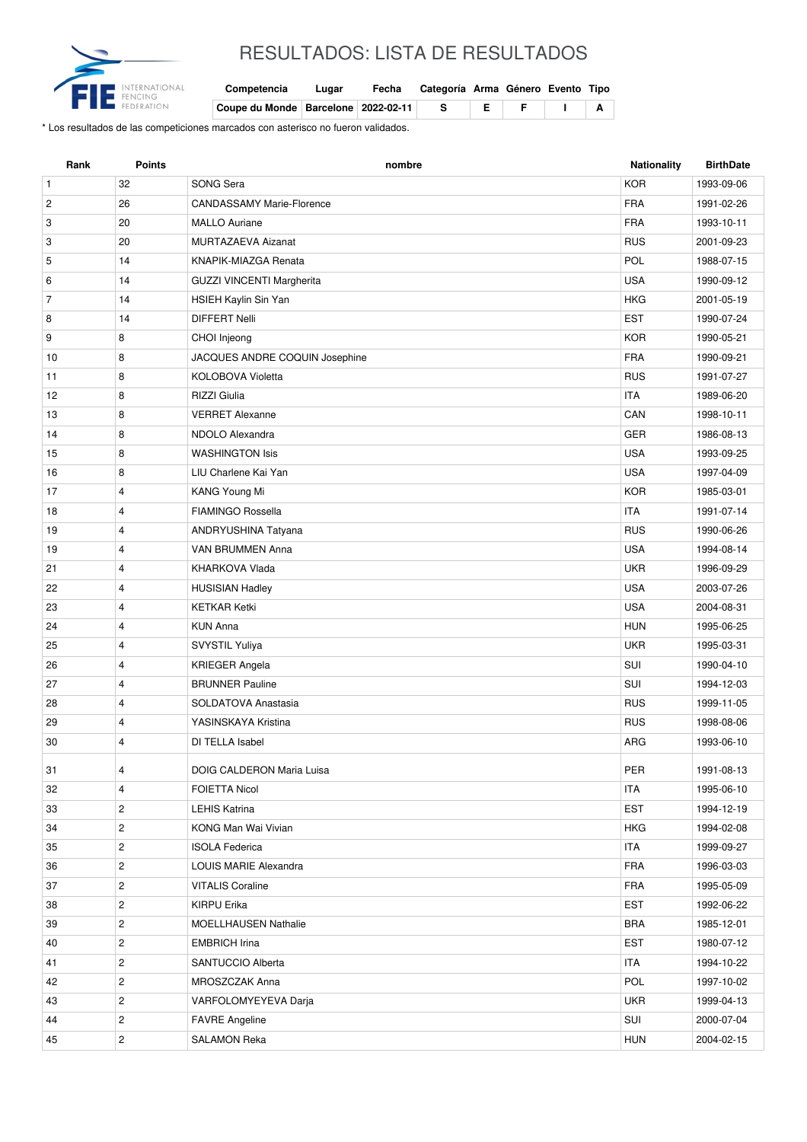

## RESULTADOS: LISTA DE RESULTADOS

| Competencia | Lugar | Fecha | Categoría Arma Género Evento Tipo |  |  |
|-------------|-------|-------|-----------------------------------|--|--|

| Coupe du Monde   Barcelone   2022-02-11 |  |  |  |  |
|-----------------------------------------|--|--|--|--|

\* Los resultados de las competiciones marcados con asterisco no fueron validados.

| <b>KOR</b><br>$\mathbf{1}$<br>32<br>SONG Sera<br>1993-09-06<br><b>FRA</b><br>$\overline{c}$<br>26<br><b>CANDASSAMY Marie-Florence</b><br>1991-02-26<br>3<br>20<br><b>FRA</b><br><b>MALLO Auriane</b><br>1993-10-11<br>3<br>20<br>MURTAZAEVA Aizanat<br><b>RUS</b><br>2001-09-23<br>14<br>POL<br>5<br>KNAPIK-MIAZGA Renata<br>1988-07-15<br>14<br><b>USA</b><br>6<br><b>GUZZI VINCENTI Margherita</b><br>1990-09-12<br>$\overline{7}$<br>14<br>HSIEH Kaylin Sin Yan<br><b>HKG</b><br>2001-05-19<br><b>EST</b><br>8<br>14<br><b>DIFFERT Nelli</b><br>1990-07-24<br>9<br>8<br><b>KOR</b><br>CHOI Injeong<br>1990-05-21<br>8<br>JACQUES ANDRE COQUIN Josephine<br><b>FRA</b><br>10<br>1990-09-21<br>8<br><b>RUS</b><br>11<br><b>KOLOBOVA Violetta</b><br>1991-07-27<br>8<br><b>RIZZI</b> Giulia<br><b>ITA</b><br>12<br>1989-06-20<br>8<br><b>VERRET Alexanne</b><br>CAN<br>13<br>1998-10-11<br>14<br>8<br>NDOLO Alexandra<br><b>GER</b><br>1986-08-13<br><b>USA</b><br><b>WASHINGTON Isis</b><br>15<br>8<br>1993-09-25<br><b>USA</b><br>16<br>8<br>LIU Charlene Kai Yan<br>1997-04-09<br>$\overline{4}$<br>KANG Young Mi<br><b>KOR</b><br>17<br>1985-03-01<br><b>FIAMINGO Rossella</b><br><b>ITA</b><br>18<br>$\overline{4}$<br>1991-07-14<br><b>RUS</b><br>19<br>$\overline{4}$<br>ANDRYUSHINA Tatyana<br>1990-06-26<br>$\overline{4}$<br><b>USA</b><br>19<br>VAN BRUMMEN Anna<br>1994-08-14<br><b>UKR</b><br>21<br>$\overline{4}$<br>KHARKOVA Vlada<br>1996-09-29<br>$\overline{4}$<br><b>USA</b><br>22<br><b>HUSISIAN Hadley</b><br>2003-07-26<br>23<br>$\overline{4}$<br><b>KETKAR Ketki</b><br><b>USA</b><br>2004-08-31<br>24<br>$\overline{4}$<br><b>HUN</b><br><b>KUN Anna</b><br>1995-06-25<br>$\overline{4}$<br>25<br><b>UKR</b><br>SVYSTIL Yuliya<br>1995-03-31<br>$\overline{4}$<br>SUI<br>26<br><b>KRIEGER Angela</b><br>1990-04-10<br>SUI<br>27<br>$\overline{4}$<br><b>BRUNNER Pauline</b><br>1994-12-03<br>$\overline{4}$<br><b>RUS</b><br>28<br>SOLDATOVA Anastasia<br>1999-11-05<br>YASINSKAYA Kristina<br><b>RUS</b><br>29<br>4<br>1998-08-06<br>30<br>$\overline{4}$<br>DI TELLA Isabel<br>ARG<br>1993-06-10<br>31<br>4<br>DOIG CALDERON Maria Luisa<br>PER<br>1991-08-13<br>$\overline{4}$<br><b>ITA</b><br>32<br><b>FOIETTA Nicol</b><br>1995-06-10<br>$\overline{2}$<br><b>EST</b><br>33<br><b>LEHIS Katrina</b><br>1994-12-19<br>$\overline{2}$<br><b>HKG</b><br>34<br>KONG Man Wai Vivian<br>1994-02-08<br>$\overline{c}$<br><b>ITA</b><br>35<br><b>ISOLA Federica</b><br>1999-09-27<br>$\overline{2}$<br><b>FRA</b><br>36<br>LOUIS MARIE Alexandra<br>1996-03-03<br>$\overline{2}$<br><b>VITALIS Coraline</b><br><b>FRA</b><br>37<br>1995-05-09<br>$\overline{c}$<br>EST<br><b>KIRPU Erika</b><br>38<br>1992-06-22<br>$\overline{c}$<br>MOELLHAUSEN Nathalie<br><b>BRA</b><br>39<br>1985-12-01<br>$\overline{c}$<br><b>EST</b><br>40<br><b>EMBRICH Irina</b><br>1980-07-12<br>$\overline{2}$<br><b>ITA</b><br>41<br>SANTUCCIO Alberta<br>1994-10-22<br>$\overline{c}$<br>POL<br>42<br>MROSZCZAK Anna<br>1997-10-02<br>$\overline{c}$<br><b>UKR</b><br>43<br>VARFOLOMYEYEVA Darja<br>1999-04-13<br>$\overline{c}$<br>SUI<br>44<br><b>FAVRE</b> Angeline<br>2000-07-04 | Rank | <b>Points</b>  | nombre              | <b>Nationality</b> | <b>BirthDate</b> |
|-------------------------------------------------------------------------------------------------------------------------------------------------------------------------------------------------------------------------------------------------------------------------------------------------------------------------------------------------------------------------------------------------------------------------------------------------------------------------------------------------------------------------------------------------------------------------------------------------------------------------------------------------------------------------------------------------------------------------------------------------------------------------------------------------------------------------------------------------------------------------------------------------------------------------------------------------------------------------------------------------------------------------------------------------------------------------------------------------------------------------------------------------------------------------------------------------------------------------------------------------------------------------------------------------------------------------------------------------------------------------------------------------------------------------------------------------------------------------------------------------------------------------------------------------------------------------------------------------------------------------------------------------------------------------------------------------------------------------------------------------------------------------------------------------------------------------------------------------------------------------------------------------------------------------------------------------------------------------------------------------------------------------------------------------------------------------------------------------------------------------------------------------------------------------------------------------------------------------------------------------------------------------------------------------------------------------------------------------------------------------------------------------------------------------------------------------------------------------------------------------------------------------------------------------------------------------------------------------------------------------------------------------------------------------------------------------------------------------------------------------------------------------------------------------------------------------------------------------------------------------------------------------------------------------------------------------------------------------------------------------------------------------------------------------------------------------------------------------------------------------------------------------------------------------------------------|------|----------------|---------------------|--------------------|------------------|
|                                                                                                                                                                                                                                                                                                                                                                                                                                                                                                                                                                                                                                                                                                                                                                                                                                                                                                                                                                                                                                                                                                                                                                                                                                                                                                                                                                                                                                                                                                                                                                                                                                                                                                                                                                                                                                                                                                                                                                                                                                                                                                                                                                                                                                                                                                                                                                                                                                                                                                                                                                                                                                                                                                                                                                                                                                                                                                                                                                                                                                                                                                                                                                                           |      |                |                     |                    |                  |
|                                                                                                                                                                                                                                                                                                                                                                                                                                                                                                                                                                                                                                                                                                                                                                                                                                                                                                                                                                                                                                                                                                                                                                                                                                                                                                                                                                                                                                                                                                                                                                                                                                                                                                                                                                                                                                                                                                                                                                                                                                                                                                                                                                                                                                                                                                                                                                                                                                                                                                                                                                                                                                                                                                                                                                                                                                                                                                                                                                                                                                                                                                                                                                                           |      |                |                     |                    |                  |
|                                                                                                                                                                                                                                                                                                                                                                                                                                                                                                                                                                                                                                                                                                                                                                                                                                                                                                                                                                                                                                                                                                                                                                                                                                                                                                                                                                                                                                                                                                                                                                                                                                                                                                                                                                                                                                                                                                                                                                                                                                                                                                                                                                                                                                                                                                                                                                                                                                                                                                                                                                                                                                                                                                                                                                                                                                                                                                                                                                                                                                                                                                                                                                                           |      |                |                     |                    |                  |
|                                                                                                                                                                                                                                                                                                                                                                                                                                                                                                                                                                                                                                                                                                                                                                                                                                                                                                                                                                                                                                                                                                                                                                                                                                                                                                                                                                                                                                                                                                                                                                                                                                                                                                                                                                                                                                                                                                                                                                                                                                                                                                                                                                                                                                                                                                                                                                                                                                                                                                                                                                                                                                                                                                                                                                                                                                                                                                                                                                                                                                                                                                                                                                                           |      |                |                     |                    |                  |
|                                                                                                                                                                                                                                                                                                                                                                                                                                                                                                                                                                                                                                                                                                                                                                                                                                                                                                                                                                                                                                                                                                                                                                                                                                                                                                                                                                                                                                                                                                                                                                                                                                                                                                                                                                                                                                                                                                                                                                                                                                                                                                                                                                                                                                                                                                                                                                                                                                                                                                                                                                                                                                                                                                                                                                                                                                                                                                                                                                                                                                                                                                                                                                                           |      |                |                     |                    |                  |
|                                                                                                                                                                                                                                                                                                                                                                                                                                                                                                                                                                                                                                                                                                                                                                                                                                                                                                                                                                                                                                                                                                                                                                                                                                                                                                                                                                                                                                                                                                                                                                                                                                                                                                                                                                                                                                                                                                                                                                                                                                                                                                                                                                                                                                                                                                                                                                                                                                                                                                                                                                                                                                                                                                                                                                                                                                                                                                                                                                                                                                                                                                                                                                                           |      |                |                     |                    |                  |
|                                                                                                                                                                                                                                                                                                                                                                                                                                                                                                                                                                                                                                                                                                                                                                                                                                                                                                                                                                                                                                                                                                                                                                                                                                                                                                                                                                                                                                                                                                                                                                                                                                                                                                                                                                                                                                                                                                                                                                                                                                                                                                                                                                                                                                                                                                                                                                                                                                                                                                                                                                                                                                                                                                                                                                                                                                                                                                                                                                                                                                                                                                                                                                                           |      |                |                     |                    |                  |
|                                                                                                                                                                                                                                                                                                                                                                                                                                                                                                                                                                                                                                                                                                                                                                                                                                                                                                                                                                                                                                                                                                                                                                                                                                                                                                                                                                                                                                                                                                                                                                                                                                                                                                                                                                                                                                                                                                                                                                                                                                                                                                                                                                                                                                                                                                                                                                                                                                                                                                                                                                                                                                                                                                                                                                                                                                                                                                                                                                                                                                                                                                                                                                                           |      |                |                     |                    |                  |
|                                                                                                                                                                                                                                                                                                                                                                                                                                                                                                                                                                                                                                                                                                                                                                                                                                                                                                                                                                                                                                                                                                                                                                                                                                                                                                                                                                                                                                                                                                                                                                                                                                                                                                                                                                                                                                                                                                                                                                                                                                                                                                                                                                                                                                                                                                                                                                                                                                                                                                                                                                                                                                                                                                                                                                                                                                                                                                                                                                                                                                                                                                                                                                                           |      |                |                     |                    |                  |
|                                                                                                                                                                                                                                                                                                                                                                                                                                                                                                                                                                                                                                                                                                                                                                                                                                                                                                                                                                                                                                                                                                                                                                                                                                                                                                                                                                                                                                                                                                                                                                                                                                                                                                                                                                                                                                                                                                                                                                                                                                                                                                                                                                                                                                                                                                                                                                                                                                                                                                                                                                                                                                                                                                                                                                                                                                                                                                                                                                                                                                                                                                                                                                                           |      |                |                     |                    |                  |
|                                                                                                                                                                                                                                                                                                                                                                                                                                                                                                                                                                                                                                                                                                                                                                                                                                                                                                                                                                                                                                                                                                                                                                                                                                                                                                                                                                                                                                                                                                                                                                                                                                                                                                                                                                                                                                                                                                                                                                                                                                                                                                                                                                                                                                                                                                                                                                                                                                                                                                                                                                                                                                                                                                                                                                                                                                                                                                                                                                                                                                                                                                                                                                                           |      |                |                     |                    |                  |
|                                                                                                                                                                                                                                                                                                                                                                                                                                                                                                                                                                                                                                                                                                                                                                                                                                                                                                                                                                                                                                                                                                                                                                                                                                                                                                                                                                                                                                                                                                                                                                                                                                                                                                                                                                                                                                                                                                                                                                                                                                                                                                                                                                                                                                                                                                                                                                                                                                                                                                                                                                                                                                                                                                                                                                                                                                                                                                                                                                                                                                                                                                                                                                                           |      |                |                     |                    |                  |
|                                                                                                                                                                                                                                                                                                                                                                                                                                                                                                                                                                                                                                                                                                                                                                                                                                                                                                                                                                                                                                                                                                                                                                                                                                                                                                                                                                                                                                                                                                                                                                                                                                                                                                                                                                                                                                                                                                                                                                                                                                                                                                                                                                                                                                                                                                                                                                                                                                                                                                                                                                                                                                                                                                                                                                                                                                                                                                                                                                                                                                                                                                                                                                                           |      |                |                     |                    |                  |
|                                                                                                                                                                                                                                                                                                                                                                                                                                                                                                                                                                                                                                                                                                                                                                                                                                                                                                                                                                                                                                                                                                                                                                                                                                                                                                                                                                                                                                                                                                                                                                                                                                                                                                                                                                                                                                                                                                                                                                                                                                                                                                                                                                                                                                                                                                                                                                                                                                                                                                                                                                                                                                                                                                                                                                                                                                                                                                                                                                                                                                                                                                                                                                                           |      |                |                     |                    |                  |
|                                                                                                                                                                                                                                                                                                                                                                                                                                                                                                                                                                                                                                                                                                                                                                                                                                                                                                                                                                                                                                                                                                                                                                                                                                                                                                                                                                                                                                                                                                                                                                                                                                                                                                                                                                                                                                                                                                                                                                                                                                                                                                                                                                                                                                                                                                                                                                                                                                                                                                                                                                                                                                                                                                                                                                                                                                                                                                                                                                                                                                                                                                                                                                                           |      |                |                     |                    |                  |
|                                                                                                                                                                                                                                                                                                                                                                                                                                                                                                                                                                                                                                                                                                                                                                                                                                                                                                                                                                                                                                                                                                                                                                                                                                                                                                                                                                                                                                                                                                                                                                                                                                                                                                                                                                                                                                                                                                                                                                                                                                                                                                                                                                                                                                                                                                                                                                                                                                                                                                                                                                                                                                                                                                                                                                                                                                                                                                                                                                                                                                                                                                                                                                                           |      |                |                     |                    |                  |
|                                                                                                                                                                                                                                                                                                                                                                                                                                                                                                                                                                                                                                                                                                                                                                                                                                                                                                                                                                                                                                                                                                                                                                                                                                                                                                                                                                                                                                                                                                                                                                                                                                                                                                                                                                                                                                                                                                                                                                                                                                                                                                                                                                                                                                                                                                                                                                                                                                                                                                                                                                                                                                                                                                                                                                                                                                                                                                                                                                                                                                                                                                                                                                                           |      |                |                     |                    |                  |
|                                                                                                                                                                                                                                                                                                                                                                                                                                                                                                                                                                                                                                                                                                                                                                                                                                                                                                                                                                                                                                                                                                                                                                                                                                                                                                                                                                                                                                                                                                                                                                                                                                                                                                                                                                                                                                                                                                                                                                                                                                                                                                                                                                                                                                                                                                                                                                                                                                                                                                                                                                                                                                                                                                                                                                                                                                                                                                                                                                                                                                                                                                                                                                                           |      |                |                     |                    |                  |
|                                                                                                                                                                                                                                                                                                                                                                                                                                                                                                                                                                                                                                                                                                                                                                                                                                                                                                                                                                                                                                                                                                                                                                                                                                                                                                                                                                                                                                                                                                                                                                                                                                                                                                                                                                                                                                                                                                                                                                                                                                                                                                                                                                                                                                                                                                                                                                                                                                                                                                                                                                                                                                                                                                                                                                                                                                                                                                                                                                                                                                                                                                                                                                                           |      |                |                     |                    |                  |
|                                                                                                                                                                                                                                                                                                                                                                                                                                                                                                                                                                                                                                                                                                                                                                                                                                                                                                                                                                                                                                                                                                                                                                                                                                                                                                                                                                                                                                                                                                                                                                                                                                                                                                                                                                                                                                                                                                                                                                                                                                                                                                                                                                                                                                                                                                                                                                                                                                                                                                                                                                                                                                                                                                                                                                                                                                                                                                                                                                                                                                                                                                                                                                                           |      |                |                     |                    |                  |
|                                                                                                                                                                                                                                                                                                                                                                                                                                                                                                                                                                                                                                                                                                                                                                                                                                                                                                                                                                                                                                                                                                                                                                                                                                                                                                                                                                                                                                                                                                                                                                                                                                                                                                                                                                                                                                                                                                                                                                                                                                                                                                                                                                                                                                                                                                                                                                                                                                                                                                                                                                                                                                                                                                                                                                                                                                                                                                                                                                                                                                                                                                                                                                                           |      |                |                     |                    |                  |
|                                                                                                                                                                                                                                                                                                                                                                                                                                                                                                                                                                                                                                                                                                                                                                                                                                                                                                                                                                                                                                                                                                                                                                                                                                                                                                                                                                                                                                                                                                                                                                                                                                                                                                                                                                                                                                                                                                                                                                                                                                                                                                                                                                                                                                                                                                                                                                                                                                                                                                                                                                                                                                                                                                                                                                                                                                                                                                                                                                                                                                                                                                                                                                                           |      |                |                     |                    |                  |
|                                                                                                                                                                                                                                                                                                                                                                                                                                                                                                                                                                                                                                                                                                                                                                                                                                                                                                                                                                                                                                                                                                                                                                                                                                                                                                                                                                                                                                                                                                                                                                                                                                                                                                                                                                                                                                                                                                                                                                                                                                                                                                                                                                                                                                                                                                                                                                                                                                                                                                                                                                                                                                                                                                                                                                                                                                                                                                                                                                                                                                                                                                                                                                                           |      |                |                     |                    |                  |
|                                                                                                                                                                                                                                                                                                                                                                                                                                                                                                                                                                                                                                                                                                                                                                                                                                                                                                                                                                                                                                                                                                                                                                                                                                                                                                                                                                                                                                                                                                                                                                                                                                                                                                                                                                                                                                                                                                                                                                                                                                                                                                                                                                                                                                                                                                                                                                                                                                                                                                                                                                                                                                                                                                                                                                                                                                                                                                                                                                                                                                                                                                                                                                                           |      |                |                     |                    |                  |
|                                                                                                                                                                                                                                                                                                                                                                                                                                                                                                                                                                                                                                                                                                                                                                                                                                                                                                                                                                                                                                                                                                                                                                                                                                                                                                                                                                                                                                                                                                                                                                                                                                                                                                                                                                                                                                                                                                                                                                                                                                                                                                                                                                                                                                                                                                                                                                                                                                                                                                                                                                                                                                                                                                                                                                                                                                                                                                                                                                                                                                                                                                                                                                                           |      |                |                     |                    |                  |
|                                                                                                                                                                                                                                                                                                                                                                                                                                                                                                                                                                                                                                                                                                                                                                                                                                                                                                                                                                                                                                                                                                                                                                                                                                                                                                                                                                                                                                                                                                                                                                                                                                                                                                                                                                                                                                                                                                                                                                                                                                                                                                                                                                                                                                                                                                                                                                                                                                                                                                                                                                                                                                                                                                                                                                                                                                                                                                                                                                                                                                                                                                                                                                                           |      |                |                     |                    |                  |
|                                                                                                                                                                                                                                                                                                                                                                                                                                                                                                                                                                                                                                                                                                                                                                                                                                                                                                                                                                                                                                                                                                                                                                                                                                                                                                                                                                                                                                                                                                                                                                                                                                                                                                                                                                                                                                                                                                                                                                                                                                                                                                                                                                                                                                                                                                                                                                                                                                                                                                                                                                                                                                                                                                                                                                                                                                                                                                                                                                                                                                                                                                                                                                                           |      |                |                     |                    |                  |
|                                                                                                                                                                                                                                                                                                                                                                                                                                                                                                                                                                                                                                                                                                                                                                                                                                                                                                                                                                                                                                                                                                                                                                                                                                                                                                                                                                                                                                                                                                                                                                                                                                                                                                                                                                                                                                                                                                                                                                                                                                                                                                                                                                                                                                                                                                                                                                                                                                                                                                                                                                                                                                                                                                                                                                                                                                                                                                                                                                                                                                                                                                                                                                                           |      |                |                     |                    |                  |
|                                                                                                                                                                                                                                                                                                                                                                                                                                                                                                                                                                                                                                                                                                                                                                                                                                                                                                                                                                                                                                                                                                                                                                                                                                                                                                                                                                                                                                                                                                                                                                                                                                                                                                                                                                                                                                                                                                                                                                                                                                                                                                                                                                                                                                                                                                                                                                                                                                                                                                                                                                                                                                                                                                                                                                                                                                                                                                                                                                                                                                                                                                                                                                                           |      |                |                     |                    |                  |
|                                                                                                                                                                                                                                                                                                                                                                                                                                                                                                                                                                                                                                                                                                                                                                                                                                                                                                                                                                                                                                                                                                                                                                                                                                                                                                                                                                                                                                                                                                                                                                                                                                                                                                                                                                                                                                                                                                                                                                                                                                                                                                                                                                                                                                                                                                                                                                                                                                                                                                                                                                                                                                                                                                                                                                                                                                                                                                                                                                                                                                                                                                                                                                                           |      |                |                     |                    |                  |
|                                                                                                                                                                                                                                                                                                                                                                                                                                                                                                                                                                                                                                                                                                                                                                                                                                                                                                                                                                                                                                                                                                                                                                                                                                                                                                                                                                                                                                                                                                                                                                                                                                                                                                                                                                                                                                                                                                                                                                                                                                                                                                                                                                                                                                                                                                                                                                                                                                                                                                                                                                                                                                                                                                                                                                                                                                                                                                                                                                                                                                                                                                                                                                                           |      |                |                     |                    |                  |
|                                                                                                                                                                                                                                                                                                                                                                                                                                                                                                                                                                                                                                                                                                                                                                                                                                                                                                                                                                                                                                                                                                                                                                                                                                                                                                                                                                                                                                                                                                                                                                                                                                                                                                                                                                                                                                                                                                                                                                                                                                                                                                                                                                                                                                                                                                                                                                                                                                                                                                                                                                                                                                                                                                                                                                                                                                                                                                                                                                                                                                                                                                                                                                                           |      |                |                     |                    |                  |
|                                                                                                                                                                                                                                                                                                                                                                                                                                                                                                                                                                                                                                                                                                                                                                                                                                                                                                                                                                                                                                                                                                                                                                                                                                                                                                                                                                                                                                                                                                                                                                                                                                                                                                                                                                                                                                                                                                                                                                                                                                                                                                                                                                                                                                                                                                                                                                                                                                                                                                                                                                                                                                                                                                                                                                                                                                                                                                                                                                                                                                                                                                                                                                                           |      |                |                     |                    |                  |
|                                                                                                                                                                                                                                                                                                                                                                                                                                                                                                                                                                                                                                                                                                                                                                                                                                                                                                                                                                                                                                                                                                                                                                                                                                                                                                                                                                                                                                                                                                                                                                                                                                                                                                                                                                                                                                                                                                                                                                                                                                                                                                                                                                                                                                                                                                                                                                                                                                                                                                                                                                                                                                                                                                                                                                                                                                                                                                                                                                                                                                                                                                                                                                                           |      |                |                     |                    |                  |
|                                                                                                                                                                                                                                                                                                                                                                                                                                                                                                                                                                                                                                                                                                                                                                                                                                                                                                                                                                                                                                                                                                                                                                                                                                                                                                                                                                                                                                                                                                                                                                                                                                                                                                                                                                                                                                                                                                                                                                                                                                                                                                                                                                                                                                                                                                                                                                                                                                                                                                                                                                                                                                                                                                                                                                                                                                                                                                                                                                                                                                                                                                                                                                                           |      |                |                     |                    |                  |
|                                                                                                                                                                                                                                                                                                                                                                                                                                                                                                                                                                                                                                                                                                                                                                                                                                                                                                                                                                                                                                                                                                                                                                                                                                                                                                                                                                                                                                                                                                                                                                                                                                                                                                                                                                                                                                                                                                                                                                                                                                                                                                                                                                                                                                                                                                                                                                                                                                                                                                                                                                                                                                                                                                                                                                                                                                                                                                                                                                                                                                                                                                                                                                                           |      |                |                     |                    |                  |
|                                                                                                                                                                                                                                                                                                                                                                                                                                                                                                                                                                                                                                                                                                                                                                                                                                                                                                                                                                                                                                                                                                                                                                                                                                                                                                                                                                                                                                                                                                                                                                                                                                                                                                                                                                                                                                                                                                                                                                                                                                                                                                                                                                                                                                                                                                                                                                                                                                                                                                                                                                                                                                                                                                                                                                                                                                                                                                                                                                                                                                                                                                                                                                                           |      |                |                     |                    |                  |
|                                                                                                                                                                                                                                                                                                                                                                                                                                                                                                                                                                                                                                                                                                                                                                                                                                                                                                                                                                                                                                                                                                                                                                                                                                                                                                                                                                                                                                                                                                                                                                                                                                                                                                                                                                                                                                                                                                                                                                                                                                                                                                                                                                                                                                                                                                                                                                                                                                                                                                                                                                                                                                                                                                                                                                                                                                                                                                                                                                                                                                                                                                                                                                                           |      |                |                     |                    |                  |
|                                                                                                                                                                                                                                                                                                                                                                                                                                                                                                                                                                                                                                                                                                                                                                                                                                                                                                                                                                                                                                                                                                                                                                                                                                                                                                                                                                                                                                                                                                                                                                                                                                                                                                                                                                                                                                                                                                                                                                                                                                                                                                                                                                                                                                                                                                                                                                                                                                                                                                                                                                                                                                                                                                                                                                                                                                                                                                                                                                                                                                                                                                                                                                                           |      |                |                     |                    |                  |
|                                                                                                                                                                                                                                                                                                                                                                                                                                                                                                                                                                                                                                                                                                                                                                                                                                                                                                                                                                                                                                                                                                                                                                                                                                                                                                                                                                                                                                                                                                                                                                                                                                                                                                                                                                                                                                                                                                                                                                                                                                                                                                                                                                                                                                                                                                                                                                                                                                                                                                                                                                                                                                                                                                                                                                                                                                                                                                                                                                                                                                                                                                                                                                                           |      |                |                     |                    |                  |
|                                                                                                                                                                                                                                                                                                                                                                                                                                                                                                                                                                                                                                                                                                                                                                                                                                                                                                                                                                                                                                                                                                                                                                                                                                                                                                                                                                                                                                                                                                                                                                                                                                                                                                                                                                                                                                                                                                                                                                                                                                                                                                                                                                                                                                                                                                                                                                                                                                                                                                                                                                                                                                                                                                                                                                                                                                                                                                                                                                                                                                                                                                                                                                                           |      |                |                     |                    |                  |
|                                                                                                                                                                                                                                                                                                                                                                                                                                                                                                                                                                                                                                                                                                                                                                                                                                                                                                                                                                                                                                                                                                                                                                                                                                                                                                                                                                                                                                                                                                                                                                                                                                                                                                                                                                                                                                                                                                                                                                                                                                                                                                                                                                                                                                                                                                                                                                                                                                                                                                                                                                                                                                                                                                                                                                                                                                                                                                                                                                                                                                                                                                                                                                                           |      |                |                     |                    |                  |
|                                                                                                                                                                                                                                                                                                                                                                                                                                                                                                                                                                                                                                                                                                                                                                                                                                                                                                                                                                                                                                                                                                                                                                                                                                                                                                                                                                                                                                                                                                                                                                                                                                                                                                                                                                                                                                                                                                                                                                                                                                                                                                                                                                                                                                                                                                                                                                                                                                                                                                                                                                                                                                                                                                                                                                                                                                                                                                                                                                                                                                                                                                                                                                                           |      |                |                     |                    |                  |
|                                                                                                                                                                                                                                                                                                                                                                                                                                                                                                                                                                                                                                                                                                                                                                                                                                                                                                                                                                                                                                                                                                                                                                                                                                                                                                                                                                                                                                                                                                                                                                                                                                                                                                                                                                                                                                                                                                                                                                                                                                                                                                                                                                                                                                                                                                                                                                                                                                                                                                                                                                                                                                                                                                                                                                                                                                                                                                                                                                                                                                                                                                                                                                                           |      |                |                     |                    |                  |
|                                                                                                                                                                                                                                                                                                                                                                                                                                                                                                                                                                                                                                                                                                                                                                                                                                                                                                                                                                                                                                                                                                                                                                                                                                                                                                                                                                                                                                                                                                                                                                                                                                                                                                                                                                                                                                                                                                                                                                                                                                                                                                                                                                                                                                                                                                                                                                                                                                                                                                                                                                                                                                                                                                                                                                                                                                                                                                                                                                                                                                                                                                                                                                                           | 45   | $\overline{2}$ | <b>SALAMON Reka</b> | <b>HUN</b>         | 2004-02-15       |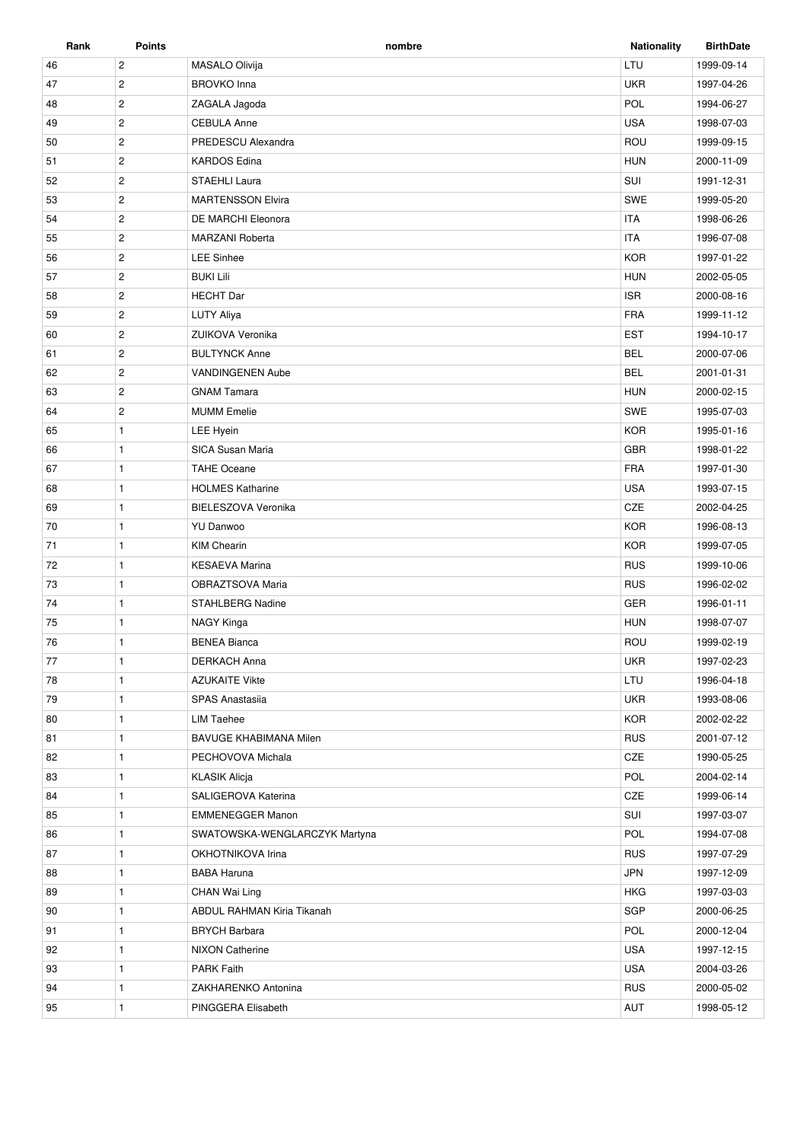| Rank | Points         | nombre                        | <b>Nationality</b> | <b>BirthDate</b> |
|------|----------------|-------------------------------|--------------------|------------------|
| 46   | $\overline{c}$ | MASALO Olivija                | LTU                | 1999-09-14       |
| 47   | $\mathbf{2}$   | <b>BROVKO</b> Inna            | <b>UKR</b>         | 1997-04-26       |
| 48   | $\mathbf{2}$   | ZAGALA Jagoda                 | POL                | 1994-06-27       |
| 49   | $\mathbf{2}$   | <b>CEBULA Anne</b>            | <b>USA</b>         | 1998-07-03       |
| 50   | $\mathbf{2}$   | PREDESCU Alexandra            | ROU                | 1999-09-15       |
| 51   | $\overline{2}$ | <b>KARDOS Edina</b>           | <b>HUN</b>         | 2000-11-09       |
| 52   | $\overline{c}$ | STAEHLI Laura                 | SUI                | 1991-12-31       |
| 53   | $\overline{2}$ | <b>MARTENSSON Elvira</b>      | SWE                | 1999-05-20       |
| 54   | $\overline{2}$ | DE MARCHI Eleonora            | <b>ITA</b>         | 1998-06-26       |
| 55   | $\overline{c}$ | <b>MARZANI Roberta</b>        | <b>ITA</b>         | 1996-07-08       |
| 56   | $\overline{2}$ | <b>LEE Sinhee</b>             | <b>KOR</b>         | 1997-01-22       |
| 57   | $\mathbf{2}$   | <b>BUKI Lili</b>              | <b>HUN</b>         | 2002-05-05       |
| 58   | $\mathbf{2}$   | <b>HECHT</b> Dar              | <b>ISR</b>         | 2000-08-16       |
| 59   | $\mathbf{2}$   | <b>LUTY Aliya</b>             | <b>FRA</b>         | 1999-11-12       |
| 60   | $\mathbf{2}$   | ZUIKOVA Veronika              | <b>EST</b>         | 1994-10-17       |
| 61   | $\overline{2}$ | <b>BULTYNCK Anne</b>          | <b>BEL</b>         | 2000-07-06       |
| 62   | $\overline{2}$ | <b>VANDINGENEN Aube</b>       | <b>BEL</b>         | 2001-01-31       |
| 63   | $\overline{2}$ | <b>GNAM Tamara</b>            | <b>HUN</b>         | 2000-02-15       |
| 64   | $\overline{c}$ | <b>MUMM</b> Emelie            | SWE                | 1995-07-03       |
| 65   | $\mathbf{1}$   | LEE Hyein                     | <b>KOR</b>         | 1995-01-16       |
| 66   | $\mathbf{1}$   | SICA Susan Maria              | <b>GBR</b>         | 1998-01-22       |
| 67   | $\mathbf{1}$   | <b>TAHE Oceane</b>            | <b>FRA</b>         | 1997-01-30       |
| 68   | $\mathbf{1}$   | <b>HOLMES Katharine</b>       | <b>USA</b>         | 1993-07-15       |
| 69   | $\mathbf{1}$   | BIELESZOVA Veronika           | CZE                | 2002-04-25       |
| 70   | $\mathbf{1}$   | YU Danwoo                     | <b>KOR</b>         | 1996-08-13       |
| 71   | $\mathbf{1}$   | <b>KIM Chearin</b>            | <b>KOR</b>         | 1999-07-05       |
| 72   | $\mathbf{1}$   | <b>KESAEVA Marina</b>         | <b>RUS</b>         | 1999-10-06       |
| 73   | $\mathbf{1}$   | OBRAZTSOVA Maria              | <b>RUS</b>         | 1996-02-02       |
| 74   | $\mathbf{1}$   | <b>STAHLBERG Nadine</b>       | <b>GER</b>         | 1996-01-11       |
| 75   | $\mathbf{1}$   | NAGY Kinga                    | <b>HUN</b>         | 1998-07-07       |
| 76   | $\mathbf{1}$   | <b>BENEA Bianca</b>           | ROU                | 1999-02-19       |
| 77   | $\mathbf{1}$   | <b>DERKACH Anna</b>           | <b>UKR</b>         | 1997-02-23       |
| 78   | $\mathbf{1}$   | <b>AZUKAITE Vikte</b>         | LTU                | 1996-04-18       |
| 79   | $\mathbf{1}$   | SPAS Anastasiia               | <b>UKR</b>         | 1993-08-06       |
| 80   | $\mathbf{1}$   | LIM Taehee                    | <b>KOR</b>         | 2002-02-22       |
| 81   | $\mathbf{1}$   | BAVUGE KHABIMANA Milen        | <b>RUS</b>         | 2001-07-12       |
| 82   | $\mathbf{1}$   | PECHOVOVA Michala             | CZE                | 1990-05-25       |
| 83   | $\mathbf{1}$   | <b>KLASIK Alicia</b>          | POL                | 2004-02-14       |
| 84   | $\mathbf{1}$   | SALIGEROVA Katerina           | CZE                | 1999-06-14       |
| 85   | $\mathbf{1}$   | <b>EMMENEGGER Manon</b>       | SUI                | 1997-03-07       |
| 86   | $\mathbf{1}$   | SWATOWSKA-WENGLARCZYK Martyna | POL                | 1994-07-08       |
| 87   | $\mathbf{1}$   | OKHOTNIKOVA Irina             | <b>RUS</b>         | 1997-07-29       |
| 88   | $\mathbf{1}$   | <b>BABA Haruna</b>            | <b>JPN</b>         | 1997-12-09       |
| 89   | $\mathbf{1}$   | CHAN Wai Ling                 | <b>HKG</b>         | 1997-03-03       |
| 90   | $\mathbf{1}$   | ABDUL RAHMAN Kiria Tikanah    | SGP                | 2000-06-25       |
| 91   | $\mathbf{1}$   | <b>BRYCH Barbara</b>          | POL                | 2000-12-04       |
| 92   | $\mathbf{1}$   | <b>NIXON Catherine</b>        | <b>USA</b>         | 1997-12-15       |
| 93   | $\mathbf{1}$   | <b>PARK Faith</b>             | <b>USA</b>         | 2004-03-26       |
| 94   | $\mathbf{1}$   | ZAKHARENKO Antonina           | <b>RUS</b>         | 2000-05-02       |
| 95   | $\mathbf{1}$   | PINGGERA Elisabeth            | AUT                | 1998-05-12       |
|      |                |                               |                    |                  |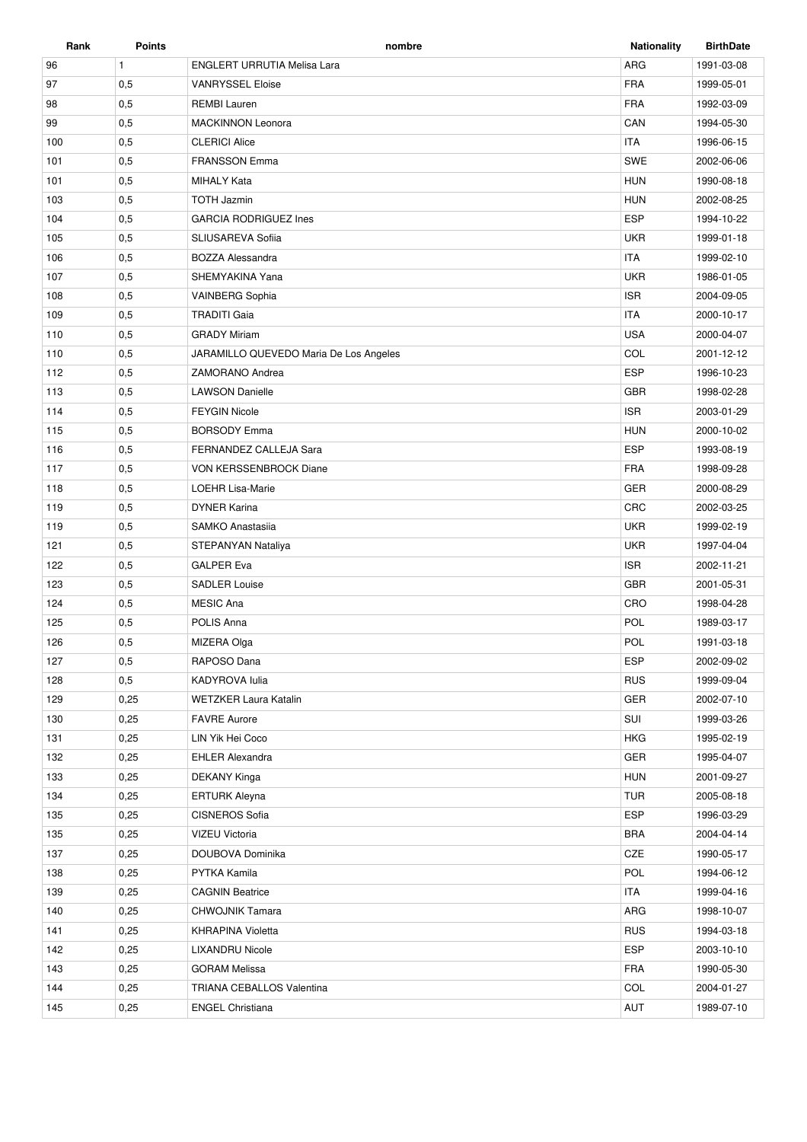| Rank | <b>Points</b> | nombre                                 | <b>Nationality</b> | <b>BirthDate</b> |
|------|---------------|----------------------------------------|--------------------|------------------|
| 96   | $\mathbf{1}$  | <b>ENGLERT URRUTIA Melisa Lara</b>     | ARG                | 1991-03-08       |
| 97   | 0,5           | <b>VANRYSSEL Eloise</b>                | <b>FRA</b>         | 1999-05-01       |
| 98   | 0,5           | <b>REMBI Lauren</b>                    | <b>FRA</b>         | 1992-03-09       |
| 99   | 0,5           | <b>MACKINNON Leonora</b>               | CAN                | 1994-05-30       |
| 100  | 0,5           | <b>CLERICI Alice</b>                   | <b>ITA</b>         | 1996-06-15       |
| 101  | 0,5           | <b>FRANSSON Emma</b>                   | <b>SWE</b>         | 2002-06-06       |
| 101  | 0,5           | <b>MIHALY Kata</b>                     | <b>HUN</b>         | 1990-08-18       |
| 103  | 0,5           | <b>TOTH Jazmin</b>                     | <b>HUN</b>         | 2002-08-25       |
| 104  | 0,5           | <b>GARCIA RODRIGUEZ Ines</b>           | <b>ESP</b>         | 1994-10-22       |
| 105  | 0,5           | <b>SLIUSAREVA Sofiia</b>               | <b>UKR</b>         | 1999-01-18       |
| 106  | 0,5           | <b>BOZZA Alessandra</b>                | <b>ITA</b>         | 1999-02-10       |
| 107  | 0,5           | SHEMYAKINA Yana                        | <b>UKR</b>         | 1986-01-05       |
| 108  | 0,5           | VAINBERG Sophia                        | <b>ISR</b>         | 2004-09-05       |
| 109  | 0,5           | <b>TRADITI Gaia</b>                    | <b>ITA</b>         | 2000-10-17       |
| 110  | 0,5           | <b>GRADY Miriam</b>                    | <b>USA</b>         | 2000-04-07       |
| 110  | 0,5           | JARAMILLO QUEVEDO Maria De Los Angeles | COL                | 2001-12-12       |
| 112  | 0,5           | ZAMORANO Andrea                        | <b>ESP</b>         | 1996-10-23       |
| 113  | 0,5           | <b>LAWSON Danielle</b>                 | <b>GBR</b>         | 1998-02-28       |
| 114  | 0,5           | <b>FEYGIN Nicole</b>                   | <b>ISR</b>         | 2003-01-29       |
| 115  | 0,5           | <b>BORSODY Emma</b>                    | <b>HUN</b>         | 2000-10-02       |
| 116  | 0,5           | FERNANDEZ CALLEJA Sara                 | <b>ESP</b>         | 1993-08-19       |
| 117  | 0,5           | VON KERSSENBROCK Diane                 | <b>FRA</b>         | 1998-09-28       |
| 118  | 0,5           | LOEHR Lisa-Marie                       | <b>GER</b>         | 2000-08-29       |
| 119  | 0,5           | <b>DYNER Karina</b>                    | <b>CRC</b>         | 2002-03-25       |
| 119  | 0,5           | SAMKO Anastasiia                       | <b>UKR</b>         | 1999-02-19       |
| 121  | 0,5           | STEPANYAN Nataliya                     | <b>UKR</b>         | 1997-04-04       |
| 122  | 0,5           | <b>GALPER Eva</b>                      | <b>ISR</b>         | 2002-11-21       |
| 123  | 0,5           | <b>SADLER Louise</b>                   | <b>GBR</b>         | 2001-05-31       |
| 124  | 0,5           | <b>MESIC Ana</b>                       | CRO                | 1998-04-28       |
| 125  | 0,5           | POLIS Anna                             | POL                | 1989-03-17       |
| 126  | 0,5           | MIZERA Olga                            | POL                | 1991-03-18       |
| 127  | 0,5           | RAPOSO Dana                            | <b>ESP</b>         | 2002-09-02       |
| 128  | 0,5           | KADYROVA lulia                         | <b>RUS</b>         | 1999-09-04       |
| 129  | 0,25          | <b>WETZKER Laura Katalin</b>           | GER                | 2002-07-10       |
| 130  | 0,25          | <b>FAVRE Aurore</b>                    | SUI                | 1999-03-26       |
| 131  | 0,25          | LIN Yik Hei Coco                       | <b>HKG</b>         | 1995-02-19       |
| 132  | 0,25          | <b>EHLER Alexandra</b>                 | GER                | 1995-04-07       |
| 133  | 0,25          | DEKANY Kinga                           | <b>HUN</b>         | 2001-09-27       |
| 134  | 0,25          | <b>ERTURK Aleyna</b>                   | <b>TUR</b>         | 2005-08-18       |
| 135  | 0,25          | CISNEROS Sofia                         | <b>ESP</b>         | 1996-03-29       |
| 135  | 0,25          | VIZEU Victoria                         | <b>BRA</b>         | 2004-04-14       |
| 137  | 0,25          | DOUBOVA Dominika                       | CZE                | 1990-05-17       |
| 138  | 0,25          | PYTKA Kamila                           | POL                | 1994-06-12       |
| 139  | 0,25          | <b>CAGNIN Beatrice</b>                 | <b>ITA</b>         | 1999-04-16       |
| 140  | 0,25          | CHWOJNIK Tamara                        | ARG                | 1998-10-07       |
| 141  | 0,25          | <b>KHRAPINA Violetta</b>               | <b>RUS</b>         | 1994-03-18       |
| 142  | 0,25          | <b>LIXANDRU Nicole</b>                 | <b>ESP</b>         | 2003-10-10       |
| 143  | 0,25          | <b>GORAM Melissa</b>                   | <b>FRA</b>         | 1990-05-30       |
| 144  | 0,25          | TRIANA CEBALLOS Valentina              | COL                | 2004-01-27       |
| 145  | 0,25          | <b>ENGEL Christiana</b>                | AUT                | 1989-07-10       |
|      |               |                                        |                    |                  |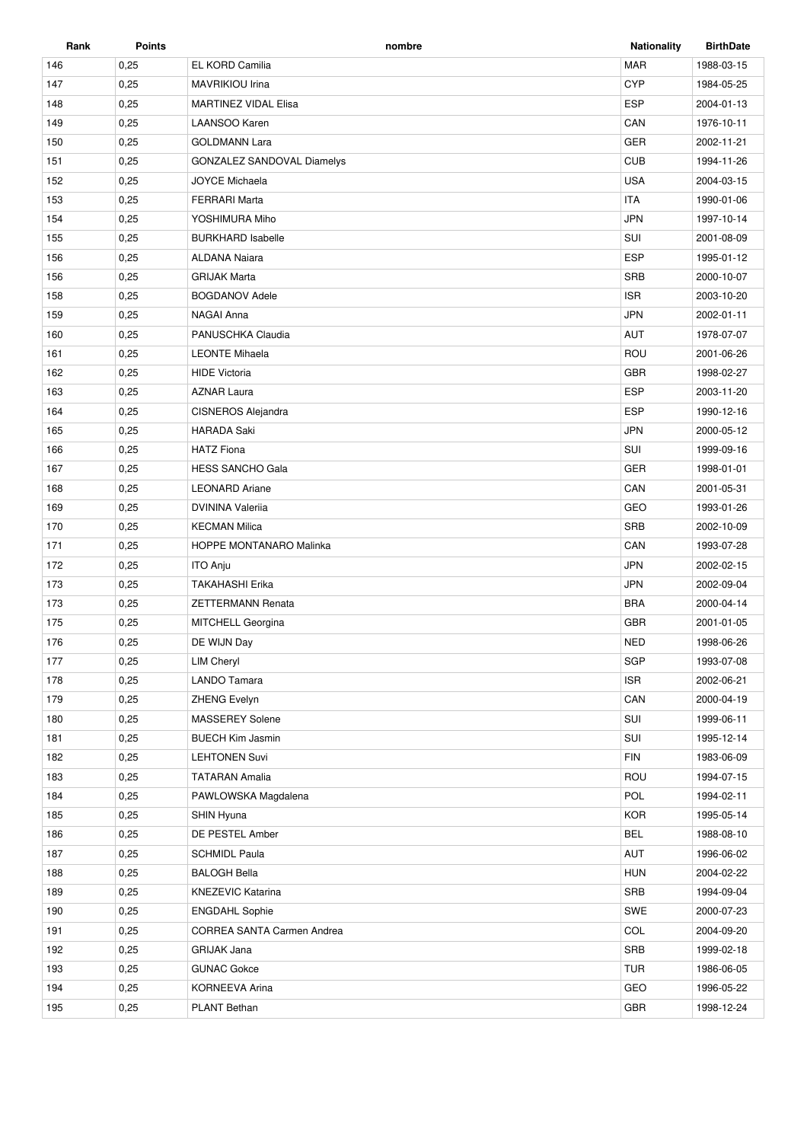| Rank | <b>Points</b> | nombre                            | <b>Nationality</b> | <b>BirthDate</b> |
|------|---------------|-----------------------------------|--------------------|------------------|
| 146  | 0,25          | EL KORD Camilia                   | <b>MAR</b>         | 1988-03-15       |
| 147  | 0,25          | MAVRIKIOU Irina                   | <b>CYP</b>         | 1984-05-25       |
| 148  | 0,25          | <b>MARTINEZ VIDAL Elisa</b>       | <b>ESP</b>         | 2004-01-13       |
| 149  | 0,25          | LAANSOO Karen                     | CAN                | 1976-10-11       |
| 150  | 0,25          | <b>GOLDMANN Lara</b>              | GER                | 2002-11-21       |
| 151  | 0,25          | <b>GONZALEZ SANDOVAL Diamelys</b> | <b>CUB</b>         | 1994-11-26       |
| 152  | 0,25          | <b>JOYCE Michaela</b>             | <b>USA</b>         | 2004-03-15       |
| 153  | 0,25          | <b>FERRARI Marta</b>              | <b>ITA</b>         | 1990-01-06       |
| 154  | 0,25          | YOSHIMURA Miho                    | <b>JPN</b>         | 1997-10-14       |
| 155  | 0,25          | <b>BURKHARD Isabelle</b>          | SUI                | 2001-08-09       |
| 156  | 0,25          | <b>ALDANA Naiara</b>              | <b>ESP</b>         | 1995-01-12       |
| 156  | 0,25          | <b>GRIJAK Marta</b>               | <b>SRB</b>         | 2000-10-07       |
| 158  | 0,25          | <b>BOGDANOV Adele</b>             | <b>ISR</b>         | 2003-10-20       |
| 159  | 0,25          | NAGAI Anna                        | <b>JPN</b>         | 2002-01-11       |
| 160  | 0,25          | PANUSCHKA Claudia                 | <b>AUT</b>         | 1978-07-07       |
| 161  | 0,25          | <b>LEONTE Mihaela</b>             | ROU                | 2001-06-26       |
| 162  | 0,25          | <b>HIDE Victoria</b>              | <b>GBR</b>         | 1998-02-27       |
| 163  | 0,25          | <b>AZNAR Laura</b>                | <b>ESP</b>         | 2003-11-20       |
| 164  | 0,25          | <b>CISNEROS Alejandra</b>         | <b>ESP</b>         | 1990-12-16       |
| 165  | 0,25          | <b>HARADA Saki</b>                | <b>JPN</b>         | 2000-05-12       |
| 166  | 0,25          | <b>HATZ Fiona</b>                 | SUI                | 1999-09-16       |
| 167  | 0,25          | <b>HESS SANCHO Gala</b>           | <b>GER</b>         | 1998-01-01       |
| 168  | 0,25          | <b>LEONARD Ariane</b>             | CAN                | 2001-05-31       |
| 169  | 0,25          | <b>DVININA Valerija</b>           | GEO                | 1993-01-26       |
| 170  | 0,25          | <b>KECMAN Milica</b>              | <b>SRB</b>         | 2002-10-09       |
| 171  | 0,25          | HOPPE MONTANARO Malinka           | CAN                | 1993-07-28       |
| 172  | 0,25          | <b>ITO Anju</b>                   | <b>JPN</b>         | 2002-02-15       |
| 173  | 0,25          | <b>TAKAHASHI Erika</b>            | <b>JPN</b>         | 2002-09-04       |
| 173  | 0,25          | ZETTERMANN Renata                 | <b>BRA</b>         | 2000-04-14       |
| 175  | 0,25          | MITCHELL Georgina                 | <b>GBR</b>         | 2001-01-05       |
| 176  | 0,25          | DE WIJN Day                       | <b>NED</b>         | 1998-06-26       |
| 177  | 0,25          | <b>LIM Cheryl</b>                 | SGP                | 1993-07-08       |
| 178  | 0,25          | <b>LANDO Tamara</b>               | <b>ISR</b>         | 2002-06-21       |
| 179  | 0,25          | ZHENG Evelyn                      | CAN                | 2000-04-19       |
| 180  | 0,25          | MASSEREY Solene                   | SUI                | 1999-06-11       |
| 181  | 0,25          | <b>BUECH Kim Jasmin</b>           | SUI                | 1995-12-14       |
| 182  | 0,25          | <b>LEHTONEN Suvi</b>              | <b>FIN</b>         | 1983-06-09       |
| 183  | 0,25          | <b>TATARAN Amalia</b>             | ROU                | 1994-07-15       |
| 184  | 0,25          | PAWLOWSKA Magdalena               | POL                | 1994-02-11       |
| 185  | 0,25          | SHIN Hyuna                        | <b>KOR</b>         | 1995-05-14       |
| 186  | 0,25          | DE PESTEL Amber                   | <b>BEL</b>         | 1988-08-10       |
| 187  | 0,25          | <b>SCHMIDL Paula</b>              | AUT                | 1996-06-02       |
| 188  | 0,25          | <b>BALOGH Bella</b>               | <b>HUN</b>         | 2004-02-22       |
| 189  | 0,25          | <b>KNEZEVIC Katarina</b>          | SRB                | 1994-09-04       |
| 190  | 0,25          | <b>ENGDAHL Sophie</b>             | SWE                | 2000-07-23       |
| 191  | 0,25          | <b>CORREA SANTA Carmen Andrea</b> | COL                | 2004-09-20       |
| 192  | 0,25          | GRIJAK Jana                       | SRB                | 1999-02-18       |
| 193  | 0,25          | <b>GUNAC Gokce</b>                | <b>TUR</b>         | 1986-06-05       |
| 194  | 0,25          | KORNEEVA Arina                    | GEO                | 1996-05-22       |
|      | 0,25          | PLANT Bethan                      | <b>GBR</b>         | 1998-12-24       |
| 195  |               |                                   |                    |                  |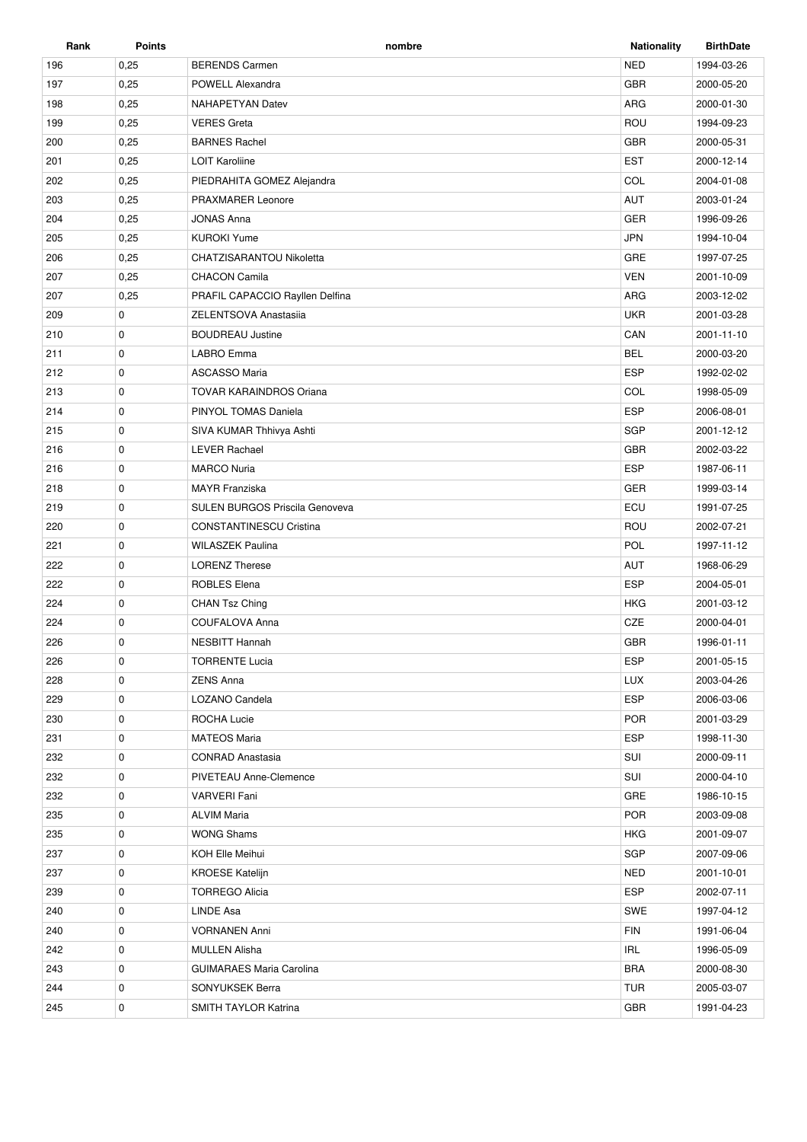| Rank | <b>Points</b> | nombre                                | <b>Nationality</b> | <b>BirthDate</b> |
|------|---------------|---------------------------------------|--------------------|------------------|
| 196  | 0,25          | <b>BERENDS Carmen</b>                 | <b>NED</b>         | 1994-03-26       |
| 197  | 0,25          | POWELL Alexandra                      | <b>GBR</b>         | 2000-05-20       |
| 198  | 0,25          | <b>NAHAPETYAN Datev</b>               | ARG                | 2000-01-30       |
| 199  | 0,25          | <b>VERES Greta</b>                    | ROU                | 1994-09-23       |
| 200  | 0,25          | <b>BARNES Rachel</b>                  | <b>GBR</b>         | 2000-05-31       |
| 201  | 0,25          | <b>LOIT Karoliine</b>                 | <b>EST</b>         | 2000-12-14       |
| 202  | 0,25          | PIEDRAHITA GOMEZ Alejandra            | COL                | 2004-01-08       |
| 203  | 0,25          | PRAXMARER Leonore                     | AUT                | 2003-01-24       |
| 204  | 0,25          | <b>JONAS Anna</b>                     | <b>GER</b>         | 1996-09-26       |
| 205  | 0,25          | <b>KUROKI Yume</b>                    | <b>JPN</b>         | 1994-10-04       |
| 206  | 0,25          | CHATZISARANTOU Nikoletta              | GRE                | 1997-07-25       |
| 207  | 0,25          | <b>CHACON Camila</b>                  | <b>VEN</b>         | 2001-10-09       |
| 207  | 0,25          | PRAFIL CAPACCIO Rayllen Delfina       | ARG                | 2003-12-02       |
| 209  | 0             | ZELENTSOVA Anastasija                 | <b>UKR</b>         | 2001-03-28       |
| 210  | $\mathbf 0$   | <b>BOUDREAU Justine</b>               | CAN                | 2001-11-10       |
| 211  | 0             | LABRO Emma                            | <b>BEL</b>         | 2000-03-20       |
| 212  | $\mathbf 0$   | <b>ASCASSO Maria</b>                  | <b>ESP</b>         | 1992-02-02       |
| 213  | $\mathbf 0$   | <b>TOVAR KARAINDROS Oriana</b>        | COL                | 1998-05-09       |
| 214  | 0             | PINYOL TOMAS Daniela                  | <b>ESP</b>         | 2006-08-01       |
| 215  | 0             | SIVA KUMAR Thhivya Ashti              | SGP                | 2001-12-12       |
| 216  | $\mathbf 0$   | <b>LEVER Rachael</b>                  | <b>GBR</b>         | 2002-03-22       |
| 216  | 0             | <b>MARCO Nuria</b>                    | <b>ESP</b>         | 1987-06-11       |
| 218  | $\mathbf 0$   | <b>MAYR</b> Franziska                 | <b>GER</b>         | 1999-03-14       |
| 219  | $\mathbf 0$   | <b>SULEN BURGOS Priscila Genoveva</b> | ECU                | 1991-07-25       |
| 220  | 0             | <b>CONSTANTINESCU Cristina</b>        | ROU                | 2002-07-21       |
| 221  | $\mathbf 0$   | <b>WILASZEK Paulina</b>               | POL                | 1997-11-12       |
| 222  | 0             | <b>LORENZ Therese</b>                 | AUT                | 1968-06-29       |
| 222  | $\mathbf 0$   | <b>ROBLES Elena</b>                   | <b>ESP</b>         | 2004-05-01       |
| 224  | $\mathbf 0$   | CHAN Tsz Ching                        | HKG                | 2001-03-12       |
| 224  | 0             | COUFALOVA Anna                        | CZE                | 2000-04-01       |
| 226  | $\mathbf 0$   | <b>NESBITT Hannah</b>                 | <b>GBR</b>         | 1996-01-11       |
| 226  | 0             | <b>TORRENTE Lucia</b>                 | <b>ESP</b>         | 2001-05-15       |
| 228  | 0             | <b>ZENS Anna</b>                      | <b>LUX</b>         | 2003-04-26       |
| 229  | 0             | LOZANO Candela                        | <b>ESP</b>         | 2006-03-06       |
| 230  | 0             | ROCHA Lucie                           | <b>POR</b>         | 2001-03-29       |
| 231  | 0             | <b>MATEOS Maria</b>                   | <b>ESP</b>         | 1998-11-30       |
| 232  | 0             | <b>CONRAD Anastasia</b>               | SUI                | 2000-09-11       |
| 232  | 0             | PIVETEAU Anne-Clemence                | SUI                | 2000-04-10       |
| 232  | 0             | <b>VARVERI Fani</b>                   | GRE                | 1986-10-15       |
| 235  | 0             | <b>ALVIM Maria</b>                    | <b>POR</b>         | 2003-09-08       |
| 235  | 0             | <b>WONG Shams</b>                     | <b>HKG</b>         | 2001-09-07       |
| 237  | 0             | KOH Elle Meihui                       | SGP                | 2007-09-06       |
| 237  | 0             | <b>KROESE Katelijn</b>                | <b>NED</b>         | 2001-10-01       |
| 239  | 0             | <b>TORREGO Alicia</b>                 | <b>ESP</b>         | 2002-07-11       |
| 240  | 0             | LINDE Asa                             | SWE                | 1997-04-12       |
| 240  | 0             | <b>VORNANEN Anni</b>                  | <b>FIN</b>         | 1991-06-04       |
| 242  | 0             | <b>MULLEN Alisha</b>                  | IRL                | 1996-05-09       |
| 243  | 0             | <b>GUIMARAES Maria Carolina</b>       | <b>BRA</b>         | 2000-08-30       |
| 244  | 0             | SONYUKSEK Berra                       | TUR                | 2005-03-07       |
| 245  | 0             | SMITH TAYLOR Katrina                  | <b>GBR</b>         | 1991-04-23       |
|      |               |                                       |                    |                  |